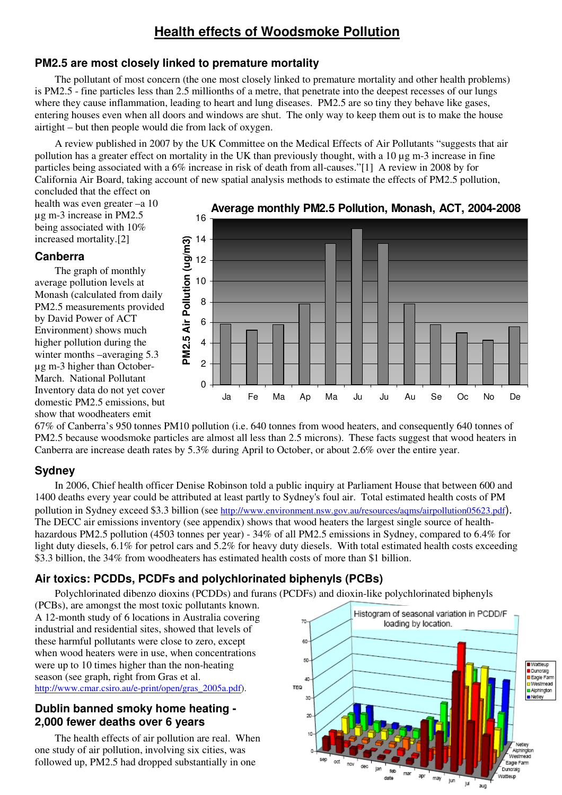# **Health effects of Woodsmoke Pollution**

### **PM2.5 are most closely linked to premature mortality**

The pollutant of most concern (the one most closely linked to premature mortality and other health problems) is PM2.5 - fine particles less than 2.5 millionths of a metre, that penetrate into the deepest recesses of our lungs where they cause inflammation, leading to heart and lung diseases. PM2.5 are so tiny they behave like gases, entering houses even when all doors and windows are shut. The only way to keep them out is to make the house airtight – but then people would die from lack of oxygen.

A review published in 2007 by the UK Committee on the Medical Effects of Air Pollutants "suggests that air pollution has a greater effect on mortality in the UK than previously thought, with a  $10 \mu g$  m-3 increase in fine particles being associated with a 6% increase in risk of death from all-causes."[1] A review in 2008 by for California Air Board, taking account of new spatial analysis methods to estimate the effects of PM2.5 pollution, concluded that the effect on

health was even greater –a 10 µg m-3 increase in PM2.5 being associated with 10% increased mortality.[2]

#### **Canberra**

The graph of monthly average pollution levels at Monash (calculated from daily PM2.5 measurements provided by David Power of ACT Environment) shows much higher pollution during the winter months –averaging 5.3 µg m-3 higher than October-March. National Pollutant Inventory data do not yet cover domestic PM2.5 emissions, but show that woodheaters emit



67% of Canberra's 950 tonnes PM10 pollution (i.e. 640 tonnes from wood heaters, and consequently 640 tonnes of PM2.5 because woodsmoke particles are almost all less than 2.5 microns). These facts suggest that wood heaters in Canberra are increase death rates by 5.3% during April to October, or about 2.6% over the entire year.

### **Sydney**

In 2006, Chief health officer Denise Robinson told a public inquiry at Parliament House that between 600 and 1400 deaths every year could be attributed at least partly to Sydney's foul air. Total estimated health costs of PM pollution in Sydney exceed \$3.3 billion (see http://www.environment.nsw.gov.au/resources/aqms/airpollution05623.pdf). The DECC air emissions inventory (see appendix) shows that wood heaters the largest single source of healthhazardous PM2.5 pollution (4503 tonnes per year) - 34% of all PM2.5 emissions in Sydney, compared to 6.4% for light duty diesels, 6.1% for petrol cars and 5.2% for heavy duty diesels. With total estimated health costs exceeding \$3.3 billion, the 34% from woodheaters has estimated health costs of more than \$1 billion.

### **Air toxics: PCDDs, PCDFs and polychlorinated biphenyls (PCBs)**

Polychlorinated dibenzo dioxins (PCDDs) and furans (PCDFs) and dioxin-like polychlorinated biphenyls

(PCBs), are amongst the most toxic pollutants known. A 12-month study of 6 locations in Australia covering industrial and residential sites, showed that levels of these harmful pollutants were close to zero, except when wood heaters were in use, when concentrations were up to 10 times higher than the non-heating season (see graph, right from Gras et al. http://www.cmar.csiro.au/e-print/open/gras\_2005a.pdf).

#### **Dublin banned smoky home heating - 2,000 fewer deaths over 6 years**

The health effects of air pollution are real. When one study of air pollution, involving six cities, was followed up, PM2.5 had dropped substantially in one

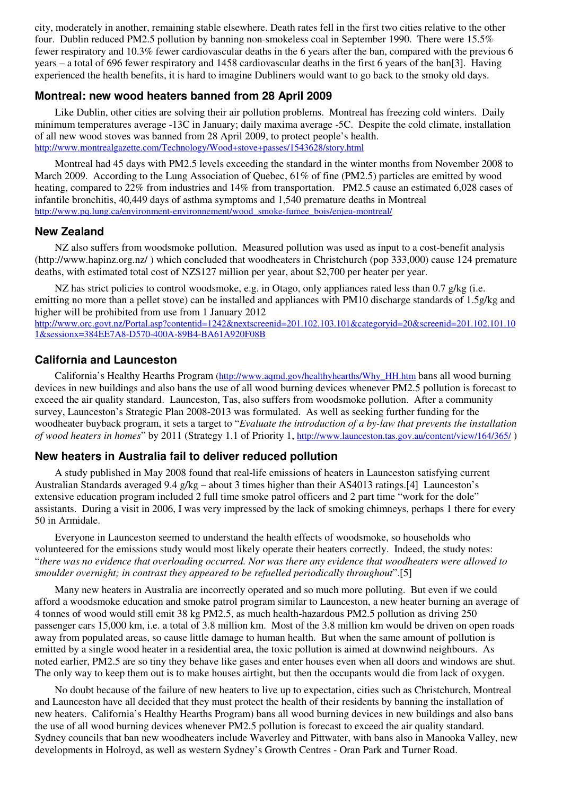city, moderately in another, remaining stable elsewhere. Death rates fell in the first two cities relative to the other four. Dublin reduced PM2.5 pollution by banning non-smokeless coal in September 1990. There were 15.5% fewer respiratory and 10.3% fewer cardiovascular deaths in the 6 years after the ban, compared with the previous 6 years – a total of 696 fewer respiratory and 1458 cardiovascular deaths in the first 6 years of the ban[3]. Having experienced the health benefits, it is hard to imagine Dubliners would want to go back to the smoky old days.

#### **Montreal: new wood heaters banned from 28 April 2009**

Like Dublin, other cities are solving their air pollution problems. Montreal has freezing cold winters. Daily minimum temperatures average -13C in January; daily maxima average -5C. Despite the cold climate, installation of all new wood stoves was banned from 28 April 2009, to protect people's health. http://www.montrealgazette.com/Technology/Wood+stove+passes/1543628/story.html

Montreal had 45 days with PM2.5 levels exceeding the standard in the winter months from November 2008 to March 2009. According to the Lung Association of Quebec, 61% of fine (PM2.5) particles are emitted by wood heating, compared to 22% from industries and 14% from transportation. PM2.5 cause an estimated 6,028 cases of infantile bronchitis, 40,449 days of asthma symptoms and 1,540 premature deaths in Montreal http://www.pq.lung.ca/environment-environnement/wood\_smoke-fumee\_bois/enjeu-montreal/

#### **New Zealand**

NZ also suffers from woodsmoke pollution. Measured pollution was used as input to a cost-benefit analysis (http://www.hapinz.org.nz/ ) which concluded that woodheaters in Christchurch (pop 333,000) cause 124 premature deaths, with estimated total cost of NZ\$127 million per year, about \$2,700 per heater per year.

NZ has strict policies to control woodsmoke, e.g. in Otago, only appliances rated less than 0.7 g/kg (i.e. emitting no more than a pellet stove) can be installed and appliances with PM10 discharge standards of 1.5g/kg and higher will be prohibited from use from 1 January 2012

http://www.orc.govt.nz/Portal.asp?contentid=1242&nextscreenid=201.102.103.101&categoryid=20&screenid=201.102.101.10 1&sessionx=384EE7A8-D570-400A-89B4-BA61A920F08B

#### **California and Launceston**

California's Healthy Hearths Program (http://www.aqmd.gov/healthyhearths/Why\_HH.htm bans all wood burning devices in new buildings and also bans the use of all wood burning devices whenever PM2.5 pollution is forecast to exceed the air quality standard. Launceston, Tas, also suffers from woodsmoke pollution. After a community survey, Launceston's Strategic Plan 2008-2013 was formulated. As well as seeking further funding for the woodheater buyback program, it sets a target to "*Evaluate the introduction of a by-law that prevents the installation of wood heaters in homes*" by 2011 (Strategy 1.1 of Priority 1, http://www.launceston.tas.gov.au/content/view/164/365/ )

#### **New heaters in Australia fail to deliver reduced pollution**

A study published in May 2008 found that real-life emissions of heaters in Launceston satisfying current Australian Standards averaged 9.4 g/kg – about 3 times higher than their AS4013 ratings.[4] Launceston's extensive education program included 2 full time smoke patrol officers and 2 part time "work for the dole" assistants. During a visit in 2006, I was very impressed by the lack of smoking chimneys, perhaps 1 there for every 50 in Armidale.

Everyone in Launceston seemed to understand the health effects of woodsmoke, so households who volunteered for the emissions study would most likely operate their heaters correctly. Indeed, the study notes: "*there was no evidence that overloading occurred. Nor was there any evidence that woodheaters were allowed to smoulder overnight; in contrast they appeared to be refuelled periodically throughout*".[5]

Many new heaters in Australia are incorrectly operated and so much more polluting. But even if we could afford a woodsmoke education and smoke patrol program similar to Launceston, a new heater burning an average of 4 tonnes of wood would still emit 38 kg PM2.5, as much health-hazardous PM2.5 pollution as driving 250 passenger cars 15,000 km, i.e. a total of 3.8 million km. Most of the 3.8 million km would be driven on open roads away from populated areas, so cause little damage to human health. But when the same amount of pollution is emitted by a single wood heater in a residential area, the toxic pollution is aimed at downwind neighbours. As noted earlier, PM2.5 are so tiny they behave like gases and enter houses even when all doors and windows are shut. The only way to keep them out is to make houses airtight, but then the occupants would die from lack of oxygen.

No doubt because of the failure of new heaters to live up to expectation, cities such as Christchurch, Montreal and Launceston have all decided that they must protect the health of their residents by banning the installation of new heaters. California's Healthy Hearths Program) bans all wood burning devices in new buildings and also bans the use of all wood burning devices whenever PM2.5 pollution is forecast to exceed the air quality standard. Sydney councils that ban new woodheaters include Waverley and Pittwater, with bans also in Manooka Valley, new developments in Holroyd, as well as western Sydney's Growth Centres - Oran Park and Turner Road.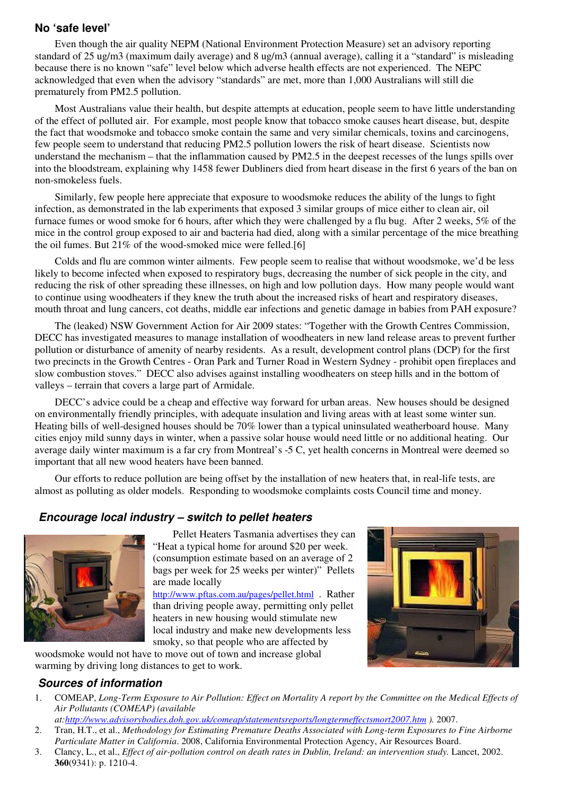#### **No 'safe level'**

Even though the air quality NEPM (National Environment Protection Measure) set an advisory reporting standard of 25 ug/m3 (maximum daily average) and 8 ug/m3 (annual average), calling it a "standard" is misleading because there is no known "safe" level below which adverse health effects are not experienced. The NEPC acknowledged that even when the advisory "standards" are met, more than 1,000 Australians will still die prematurely from PM2.5 pollution.

Most Australians value their health, but despite attempts at education, people seem to have little understanding of the effect of polluted air. For example, most people know that tobacco smoke causes heart disease, but, despite the fact that woodsmoke and tobacco smoke contain the same and very similar chemicals, toxins and carcinogens, few people seem to understand that reducing PM2.5 pollution lowers the risk of heart disease. Scientists now understand the mechanism – that the inflammation caused by PM2.5 in the deepest recesses of the lungs spills over into the bloodstream, explaining why 1458 fewer Dubliners died from heart disease in the first 6 years of the ban on non-smokeless fuels.

Similarly, few people here appreciate that exposure to woodsmoke reduces the ability of the lungs to fight infection, as demonstrated in the lab experiments that exposed 3 similar groups of mice either to clean air, oil furnace fumes or wood smoke for 6 hours, after which they were challenged by a flu bug. After 2 weeks, 5% of the mice in the control group exposed to air and bacteria had died, along with a similar percentage of the mice breathing the oil fumes. But 21% of the wood-smoked mice were felled.[6]

Colds and flu are common winter ailments. Few people seem to realise that without woodsmoke, we'd be less likely to become infected when exposed to respiratory bugs, decreasing the number of sick people in the city, and reducing the risk of other spreading these illnesses, on high and low pollution days. How many people would want to continue using woodheaters if they knew the truth about the increased risks of heart and respiratory diseases, mouth throat and lung cancers, cot deaths, middle ear infections and genetic damage in babies from PAH exposure?

The (leaked) NSW Government Action for Air 2009 states: "Together with the Growth Centres Commission, DECC has investigated measures to manage installation of woodheaters in new land release areas to prevent further pollution or disturbance of amenity of nearby residents. As a result, development control plans (DCP) for the first two precincts in the Growth Centres - Oran Park and Turner Road in Western Sydney - prohibit open fireplaces and slow combustion stoves." DECC also advises against installing woodheaters on steep hills and in the bottom of valleys – terrain that covers a large part of Armidale.

DECC's advice could be a cheap and effective way forward for urban areas. New houses should be designed on environmentally friendly principles, with adequate insulation and living areas with at least some winter sun. Heating bills of well-designed houses should be 70% lower than a typical uninsulated weatherboard house. Many cities enjoy mild sunny days in winter, when a passive solar house would need little or no additional heating. Our average daily winter maximum is a far cry from Montreal's -5 C, yet health concerns in Montreal were deemed so important that all new wood heaters have been banned.

Our efforts to reduce pollution are being offset by the installation of new heaters that, in real-life tests, are almost as polluting as older models. Responding to woodsmoke complaints costs Council time and money.

#### **Encourage local industry – switch to pellet heaters**



Pellet Heaters Tasmania advertises they can "Heat a typical home for around \$20 per week. (consumption estimate based on an average of 2 bags per week for 25 weeks per winter)" Pellets are made locally

http://www.pftas.com.au/pages/pellet.html . Rather than driving people away, permitting only pellet heaters in new housing would stimulate new local industry and make new developments less smoky, so that people who are affected by

woodsmoke would not have to move out of town and increase global warming by driving long distances to get to work.

### **Sources of information**

- 1. COMEAP, *Long-Term Exposure to Air Pollution: Effect on Mortality A report by the Committee on the Medical Effects of Air Pollutants (COMEAP) (available*
- *at:http://www.advisorybodies.doh.gov.uk/comeap/statementsreports/longtermeffectsmort2007.htm ).* 2007. 2. Tran, H.T., et al., *Methodology for Estimating Premature Deaths Associated with Long-term Exposures to Fine Airborne*
- *Particulate Matter in California*. 2008, California Environmental Protection Agency, Air Resources Board. 3. Clancy, L., et al., *Effect of air-pollution control on death rates in Dublin, Ireland: an intervention study.* Lancet, 2002. **360**(9341): p. 1210-4.
-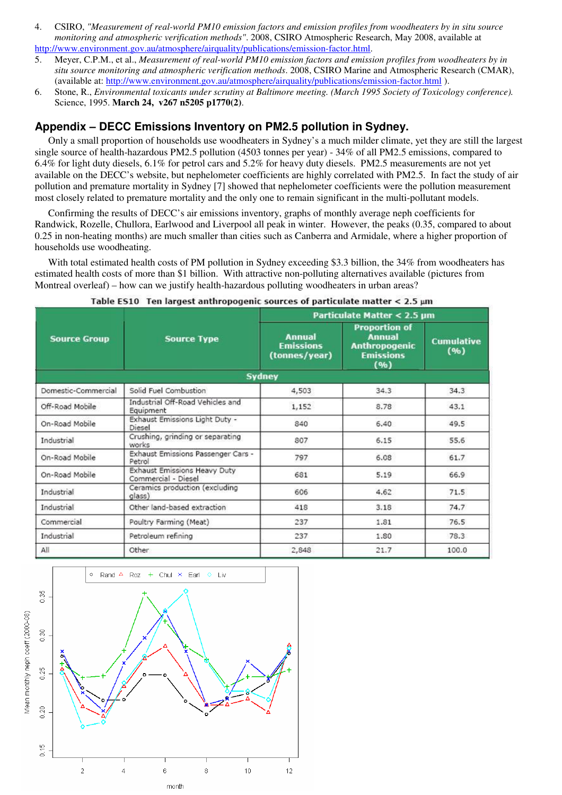- 4. CSIRO, *"Measurement of real-world PM10 emission factors and emission profiles from woodheaters by in situ source monitoring and atmospheric verification methods"*. 2008, CSIRO Atmospheric Research, May 2008, available at http://www.environment.gov.au/atmosphere/airquality/publications/emission-factor.html.
- 5. Meyer, C.P.M., et al., *Measurement of real-world PM10 emission factors and emission profiles from woodheaters by in situ source monitoring and atmospheric verification methods*. 2008, CSIRO Marine and Atmospheric Research (CMAR), (available at: http://www.environment.gov.au/atmosphere/airquality/publications/emission-factor.html ).
- 6. Stone, R., *Environmental toxicants under scrutiny at Baltimore meeting. (March 1995 Society of Toxicology conference).* Science, 1995. **March 24, v267 n5205 p1770(2)**.

### **Appendix – DECC Emissions Inventory on PM2.5 pollution in Sydney.**

Only a small proportion of households use woodheaters in Sydney's a much milder climate, yet they are still the largest single source of health-hazardous PM2.5 pollution (4503 tonnes per year) - 34% of all PM2.5 emissions, compared to 6.4% for light duty diesels, 6.1% for petrol cars and 5.2% for heavy duty diesels. PM2.5 measurements are not yet available on the DECC's website, but nephelometer coefficients are highly correlated with PM2.5. In fact the study of air pollution and premature mortality in Sydney [7] showed that nephelometer coefficients were the pollution measurement most closely related to premature mortality and the only one to remain significant in the multi-pollutant models.

Confirming the results of DECC's air emissions inventory, graphs of monthly average neph coefficients for Randwick, Rozelle, Chullora, Earlwood and Liverpool all peak in winter. However, the peaks (0.35, compared to about 0.25 in non-heating months) are much smaller than cities such as Canberra and Armidale, where a higher proportion of households use woodheating.

With total estimated health costs of PM pollution in Sydney exceeding \$3.3 billion, the 34% from woodheaters has estimated health costs of more than \$1 billion. With attractive non-polluting alternatives available (pictures from Montreal overleaf) – how can we justify health-hazardous polluting woodheaters in urban areas?

| <b>Source Group</b> | <b>Source Type</b>                                         | Particulate Matter < 2.5 µm                        |                                                                                           |                           |  |
|---------------------|------------------------------------------------------------|----------------------------------------------------|-------------------------------------------------------------------------------------------|---------------------------|--|
|                     |                                                            | <b>Annual</b><br><b>Emissions</b><br>(tonnes/year) | <b>Proportion of</b><br><b>Annual</b><br><b>Anthropogenic</b><br><b>Emissions</b><br>(96) | <b>Cumulative</b><br>(96) |  |
| Sydney              |                                                            |                                                    |                                                                                           |                           |  |
| Domestic-Commercial | Solid Fuel Combustion                                      | 4,503                                              | 34.3                                                                                      | 34.3                      |  |
| Off-Road Mobile     | Industrial Off-Road Vehicles and<br>Equipment              | 1,152                                              | 8.78                                                                                      | 43.1                      |  |
| On-Road Mobile      | Exhaust Emissions Light Duty -<br>Diesel                   | 840                                                | 6,40                                                                                      | 49.5                      |  |
| Industrial          | Crushing, grinding or separating<br>works                  | 807                                                | 6.15                                                                                      | 55.6                      |  |
| On-Road Mobile      | Exhaust Emissions Passenger Cars -<br>Petrol               | 797                                                | 6.08                                                                                      | 61.7                      |  |
| On-Road Mobile      | <b>Exhaust Emissions Heavy Duty</b><br>Commercial - Diesel | 681                                                | 5.19                                                                                      | 66.9                      |  |
| Industrial          | Ceramics production (excluding<br>glass)                   | 606                                                | 4.62                                                                                      | 71.5                      |  |
| Industrial          | Other land-based extraction                                | 418                                                | 3.18                                                                                      | 74.7                      |  |
| Commercial          | Poultry Farming (Meat)                                     | 237                                                | 1.81                                                                                      | 76.5                      |  |
| Industrial          | Petroleum refining                                         | 237                                                | 1.80                                                                                      | 78.3                      |  |
| All                 | Other                                                      | 2,848                                              | 21.7                                                                                      | 100.0                     |  |

#### Table ES10 Ten largest anthropogenic sources of particulate matter  $<$  2.5  $\mu$ m

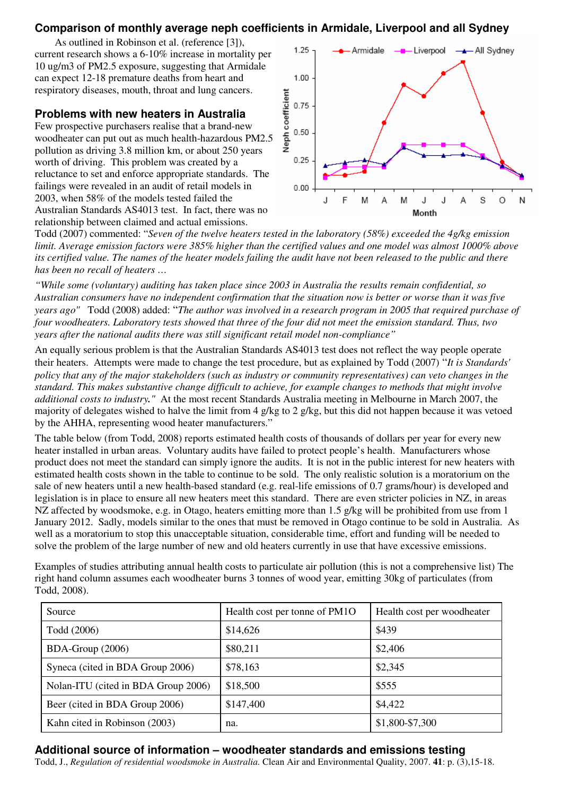### **Comparison of monthly average neph coefficients in Armidale, Liverpool and all Sydney**

As outlined in Robinson et al. (reference [3]), current research shows a 6-10% increase in mortality per 10 ug/m3 of PM2.5 exposure, suggesting that Armidale can expect 12-18 premature deaths from heart and respiratory diseases, mouth, throat and lung cancers.

#### **Problems with new heaters in Australia**

Few prospective purchasers realise that a brand-new woodheater can put out as much health-hazardous PM2.5 pollution as driving 3.8 million km, or about 250 years worth of driving. This problem was created by a reluctance to set and enforce appropriate standards. The failings were revealed in an audit of retail models in 2003, when 58% of the models tested failed the Australian Standards AS4013 test. In fact, there was no relationship between claimed and actual emissions.



Todd (2007) commented: "*Seven of the twelve heaters tested in the laboratory (58%) exceeded the 4g/kg emission limit. Average emission factors were 385% higher than the certified values and one model was almost 1000% above its certified value. The names of the heater models failing the audit have not been released to the public and there has been no recall of heaters …* 

*"While some (voluntary) auditing has taken place since 2003 in Australia the results remain confidential, so Australian consumers have no independent confirmation that the situation now is better or worse than it was five years ago"* Todd (2008) added: "*The author was involved in a research program in 2005 that required purchase of four woodheaters. Laboratory tests showed that three of the four did not meet the emission standard. Thus, two years after the national audits there was still significant retail model non-compliance"* 

An equally serious problem is that the Australian Standards AS4013 test does not reflect the way people operate their heaters. Attempts were made to change the test procedure, but as explained by Todd (2007) "*It is Standards' policy that any of the major stakeholders (such as industry or community representatives) can veto changes in the standard. This makes substantive change difficult to achieve, for example changes to methods that might involve additional costs to industry."* At the most recent Standards Australia meeting in Melbourne in March 2007, the majority of delegates wished to halve the limit from 4 g/kg to 2 g/kg, but this did not happen because it was vetoed by the AHHA, representing wood heater manufacturers."

The table below (from Todd, 2008) reports estimated health costs of thousands of dollars per year for every new heater installed in urban areas. Voluntary audits have failed to protect people's health. Manufacturers whose product does not meet the standard can simply ignore the audits. It is not in the public interest for new heaters with estimated health costs shown in the table to continue to be sold. The only realistic solution is a moratorium on the sale of new heaters until a new health-based standard (e.g. real-life emissions of 0.7 grams/hour) is developed and legislation is in place to ensure all new heaters meet this standard. There are even stricter policies in NZ, in areas NZ affected by woodsmoke, e.g. in Otago, heaters emitting more than 1.5 g/kg will be prohibited from use from 1 January 2012. Sadly, models similar to the ones that must be removed in Otago continue to be sold in Australia. As well as a moratorium to stop this unacceptable situation, considerable time, effort and funding will be needed to solve the problem of the large number of new and old heaters currently in use that have excessive emissions.

Examples of studies attributing annual health costs to particulate air pollution (this is not a comprehensive list) The right hand column assumes each woodheater burns 3 tonnes of wood year, emitting 30kg of particulates (from Todd, 2008).

| Source                              | Health cost per tonne of PM1O | Health cost per woodheater |
|-------------------------------------|-------------------------------|----------------------------|
| Todd (2006)                         | \$14,626                      | \$439                      |
| BDA-Group (2006)                    | \$80,211                      | \$2,406                    |
| Syneca (cited in BDA Group 2006)    | \$78,163                      | \$2,345                    |
| Nolan-ITU (cited in BDA Group 2006) | \$18,500                      | \$555                      |
| Beer (cited in BDA Group 2006)      | \$147,400                     | \$4,422                    |
| Kahn cited in Robinson (2003)       | na.                           | \$1,800-\$7,300            |

#### **Additional source of information – woodheater standards and emissions testing**

Todd, J., *Regulation of residential woodsmoke in Australia.* Clean Air and Environmental Quality, 2007. **41**: p. (3),15-18.